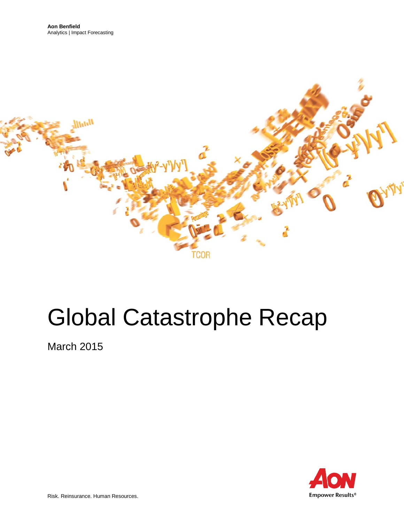

# Global Catastrophe Recap

March 2015

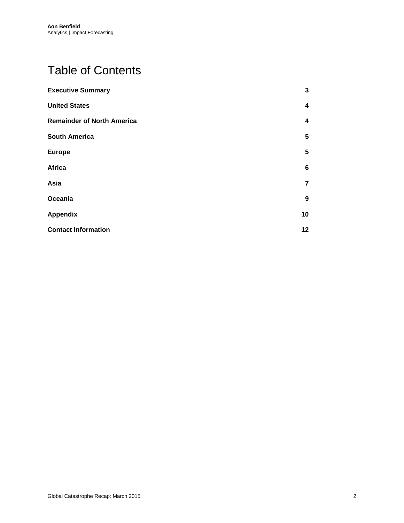# Table of Contents

| <b>Executive Summary</b>          | 3                       |
|-----------------------------------|-------------------------|
| <b>United States</b>              | $\overline{\mathbf{4}}$ |
| <b>Remainder of North America</b> | 4                       |
| <b>South America</b>              | 5                       |
| <b>Europe</b>                     | $5\phantom{.0}$         |
| Africa                            | 6                       |
| Asia                              | 7                       |
| Oceania                           | $\boldsymbol{9}$        |
| <b>Appendix</b>                   | 10                      |
| <b>Contact Information</b>        | 12                      |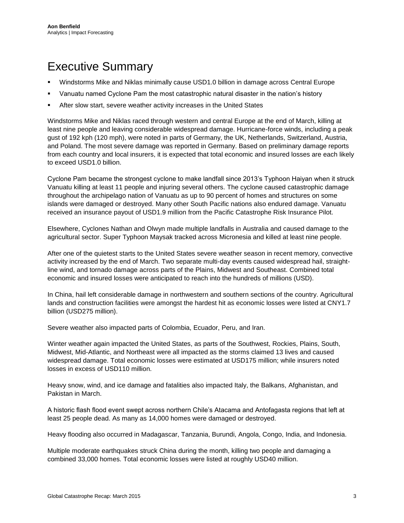### <span id="page-2-0"></span>Executive Summary

- Windstorms Mike and Niklas minimally cause USD1.0 billion in damage across Central Europe
- Vanuatu named Cyclone Pam the most catastrophic natural disaster in the nation's history
- After slow start, severe weather activity increases in the United States

Windstorms Mike and Niklas raced through western and central Europe at the end of March, killing at least nine people and leaving considerable widespread damage. Hurricane-force winds, including a peak gust of 192 kph (120 mph), were noted in parts of Germany, the UK, Netherlands, Switzerland, Austria, and Poland. The most severe damage was reported in Germany. Based on preliminary damage reports from each country and local insurers, it is expected that total economic and insured losses are each likely to exceed USD1.0 billion.

Cyclone Pam became the strongest cyclone to make landfall since 2013's Typhoon Haiyan when it struck Vanuatu killing at least 11 people and injuring several others. The cyclone caused catastrophic damage throughout the archipelago nation of Vanuatu as up to 90 percent of homes and structures on some islands were damaged or destroyed. Many other South Pacific nations also endured damage. Vanuatu received an insurance payout of USD1.9 million from the Pacific Catastrophe Risk Insurance Pilot.

Elsewhere, Cyclones Nathan and Olwyn made multiple landfalls in Australia and caused damage to the agricultural sector. Super Typhoon Maysak tracked across Micronesia and killed at least nine people.

After one of the quietest starts to the United States severe weather season in recent memory, convective activity increased by the end of March. Two separate multi-day events caused widespread hail, straightline wind, and tornado damage across parts of the Plains, Midwest and Southeast. Combined total economic and insured losses were anticipated to reach into the hundreds of millions (USD).

In China, hail left considerable damage in northwestern and southern sections of the country. Agricultural lands and construction facilities were amongst the hardest hit as economic losses were listed at CNY1.7 billion (USD275 million).

Severe weather also impacted parts of Colombia, Ecuador, Peru, and Iran.

Winter weather again impacted the United States, as parts of the Southwest, Rockies, Plains, South, Midwest, Mid-Atlantic, and Northeast were all impacted as the storms claimed 13 lives and caused widespread damage. Total economic losses were estimated at USD175 million; while insurers noted losses in excess of USD110 million.

Heavy snow, wind, and ice damage and fatalities also impacted Italy, the Balkans, Afghanistan, and Pakistan in March.

A historic flash flood event swept across northern Chile's Atacama and Antofagasta regions that left at least 25 people dead. As many as 14,000 homes were damaged or destroyed.

Heavy flooding also occurred in Madagascar, Tanzania, Burundi, Angola, Congo, India, and Indonesia.

Multiple moderate earthquakes struck China during the month, killing two people and damaging a combined 33,000 homes. Total economic losses were listed at roughly USD40 million.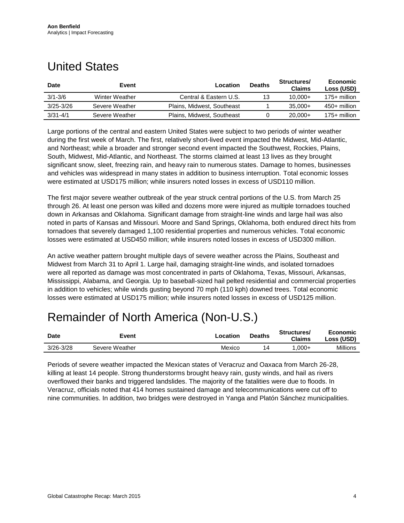### <span id="page-3-0"></span>United States

| <b>Date</b>   | Event          | Location                   | <b>Deaths</b> | Structures/<br><b>Claims</b> | Economic<br>Loss (USD) |
|---------------|----------------|----------------------------|---------------|------------------------------|------------------------|
| $3/1 - 3/6$   | Winter Weather | Central & Eastern U.S.     | 13            | $10.000+$                    | $175+$ million         |
| $3/25 - 3/26$ | Severe Weather | Plains, Midwest, Southeast |               | $35.000+$                    | $450+$ million         |
| $3/31 - 4/1$  | Severe Weather | Plains, Midwest, Southeast |               | $20.000+$                    | $175+$ million         |

Large portions of the central and eastern United States were subject to two periods of winter weather during the first week of March. The first, relatively short-lived event impacted the Midwest, Mid-Atlantic, and Northeast; while a broader and stronger second event impacted the Southwest, Rockies, Plains, South, Midwest, Mid-Atlantic, and Northeast. The storms claimed at least 13 lives as they brought significant snow, sleet, freezing rain, and heavy rain to numerous states. Damage to homes, businesses and vehicles was widespread in many states in addition to business interruption. Total economic losses were estimated at USD175 million; while insurers noted losses in excess of USD110 million.

The first major severe weather outbreak of the year struck central portions of the U.S. from March 25 through 26. At least one person was killed and dozens more were injured as multiple tornadoes touched down in Arkansas and Oklahoma. Significant damage from straight-line winds and large hail was also noted in parts of Kansas and Missouri. Moore and Sand Springs, Oklahoma, both endured direct hits from tornadoes that severely damaged 1,100 residential properties and numerous vehicles. Total economic losses were estimated at USD450 million; while insurers noted losses in excess of USD300 million.

An active weather pattern brought multiple days of severe weather across the Plains, Southeast and Midwest from March 31 to April 1. Large hail, damaging straight-line winds, and isolated tornadoes were all reported as damage was most concentrated in parts of Oklahoma, Texas, Missouri, Arkansas, Mississippi, Alabama, and Georgia. Up to baseball-sized hail pelted residential and commercial properties in addition to vehicles; while winds gusting beyond 70 mph (110 kph) downed trees. Total economic losses were estimated at USD175 million; while insurers noted losses in excess of USD125 million.

### <span id="page-3-1"></span>Remainder of North America (Non-U.S.)

| <b>Date</b>   | Event          | ∟ocation | <b>Deaths</b> | Structures/<br><b>Claims</b> | Economic<br>Loss (USD) |
|---------------|----------------|----------|---------------|------------------------------|------------------------|
| $3/26 - 3/28$ | Severe Weather | Mexico   | 14            | $.000 +$                     | Millions               |

Periods of severe weather impacted the Mexican states of Veracruz and Oaxaca from March 26-28, killing at least 14 people. Strong thunderstorms brought heavy rain, gusty winds, and hail as rivers overflowed their banks and triggered landslides. The majority of the fatalities were due to floods. In Veracruz, officials noted that 414 homes sustained damage and telecommunications were cut off to nine communities. In addition, two bridges were destroyed in Yanga and Platón Sánchez municipalities.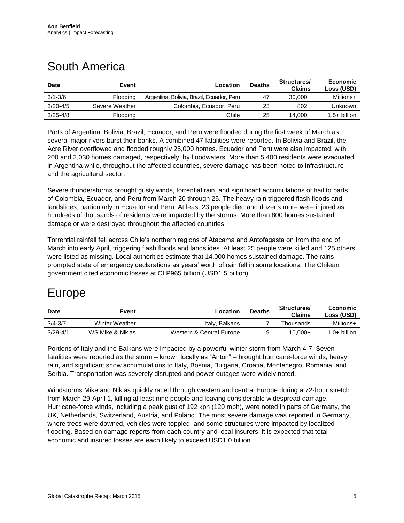## <span id="page-4-0"></span>South America

| <b>Date</b>  | Event          | Location                                  | <b>Deaths</b> | Structures/<br><b>Claims</b> | Economic<br>Loss (USD) |
|--------------|----------------|-------------------------------------------|---------------|------------------------------|------------------------|
| $3/1 - 3/6$  | Flooding       | Argentina, Bolivia, Brazil, Ecuador, Peru | 47            | $30.000+$                    | Millions+              |
| $3/20 - 4/5$ | Severe Weather | Colombia, Ecuador, Peru                   | 23            | $802+$                       | Unknown                |
| $3/25 - 4/8$ | Flooding       | Chile                                     | 25            | 14.000+                      | $1.5+$ billion         |

Parts of Argentina, Bolivia, Brazil, Ecuador, and Peru were flooded during the first week of March as several major rivers burst their banks. A combined 47 fatalities were reported. In Bolivia and Brazil, the Acre River overflowed and flooded roughly 25,000 homes. Ecuador and Peru were also impacted, with 200 and 2,030 homes damaged, respectively, by floodwaters. More than 5,400 residents were evacuated in Argentina while, throughout the affected countries, severe damage has been noted to infrastructure and the agricultural sector.

Severe thunderstorms brought gusty winds, torrential rain, and significant accumulations of hail to parts of Colombia, Ecuador, and Peru from March 20 through 25. The heavy rain triggered flash floods and landslides, particularly in Ecuador and Peru. At least 23 people died and dozens more were injured as hundreds of thousands of residents were impacted by the storms. More than 800 homes sustained damage or were destroyed throughout the affected countries.

Torrential rainfall fell across Chile's northern regions of Atacama and Antofagasta on from the end of March into early April, triggering flash floods and landslides. At least 25 people were killed and 125 others were listed as missing. Local authorities estimate that 14,000 homes sustained damage. The rains prompted state of emergency declarations as years' worth of rain fell in some locations. The Chilean government cited economic losses at CLP965 billion (USD1.5 billion).

### <span id="page-4-1"></span>Europe

| <b>Date</b>  | Event            | Location                 | <b>Deaths</b> | Structures/<br>Claims | Economic<br>Loss (USD) |
|--------------|------------------|--------------------------|---------------|-----------------------|------------------------|
| $3/4 - 3/7$  | Winter Weather   | Italy, Balkans           |               | Thousands             | Millions+              |
| $3/29 - 4/1$ | WS Mike & Niklas | Western & Central Europe |               | 10,000+               | $1.0+$ billion         |

Portions of Italy and the Balkans were impacted by a powerful winter storm from March 4-7. Seven fatalities were reported as the storm – known locally as "Anton" – brought hurricane-force winds, heavy rain, and significant snow accumulations to Italy, Bosnia, Bulgaria, Croatia, Montenegro, Romania, and Serbia. Transportation was severely disrupted and power outages were widely noted.

Windstorms Mike and Niklas quickly raced through western and central Europe during a 72-hour stretch from March 29-April 1, killing at least nine people and leaving considerable widespread damage. Hurricane-force winds, including a peak gust of 192 kph (120 mph), were noted in parts of Germany, the UK, Netherlands, Switzerland, Austria, and Poland. The most severe damage was reported in Germany, where trees were downed, vehicles were toppled, and some structures were impacted by localized flooding. Based on damage reports from each country and local insurers, it is expected that total economic and insured losses are each likely to exceed USD1.0 billion.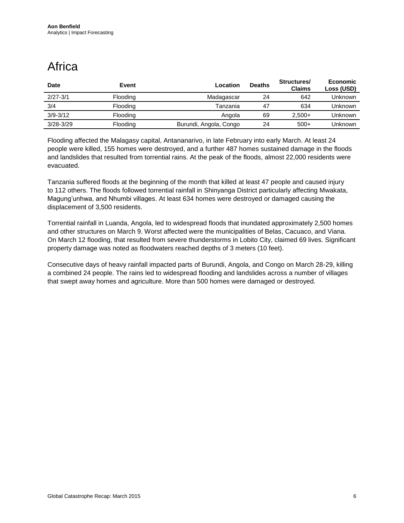# <span id="page-5-0"></span>**Africa**

| <b>Date</b>   | Event    | Location               | <b>Deaths</b> | Structures/<br><b>Claims</b> | <b>Economic</b><br>Loss (USD) |
|---------------|----------|------------------------|---------------|------------------------------|-------------------------------|
| $2/27 - 3/1$  | Flooding | Madagascar             | 24            | 642                          | Unknown                       |
| 3/4           | Flooding | Tanzania               | 47            | 634                          | Unknown                       |
| $3/9 - 3/12$  | Flooding | Angola                 | 69            | $2.500+$                     | Unknown                       |
| $3/28 - 3/29$ | Flooding | Burundi, Angola, Congo | 24            | $500+$                       | Unknown                       |

Flooding affected the Malagasy capital, Antananarivo, in late February into early March. At least 24 people were killed, 155 homes were destroyed, and a further 487 homes sustained damage in the floods and landslides that resulted from torrential rains. At the peak of the floods, almost 22,000 residents were evacuated.

Tanzania suffered floods at the beginning of the month that killed at least 47 people and caused injury to 112 others. The floods followed torrential rainfall in Shinyanga District particularly affecting Mwakata, Magung'unhwa, and Nhumbi villages. At least 634 homes were destroyed or damaged causing the displacement of 3,500 residents.

Torrential rainfall in Luanda, Angola, led to widespread floods that inundated approximately 2,500 homes and other structures on March 9. Worst affected were the municipalities of Belas, Cacuaco, and Viana. On March 12 flooding, that resulted from severe thunderstorms in Lobito City, claimed 69 lives. Significant property damage was noted as floodwaters reached depths of 3 meters (10 feet).

Consecutive days of heavy rainfall impacted parts of Burundi, Angola, and Congo on March 28-29, killing a combined 24 people. The rains led to widespread flooding and landslides across a number of villages that swept away homes and agriculture. More than 500 homes were damaged or destroyed.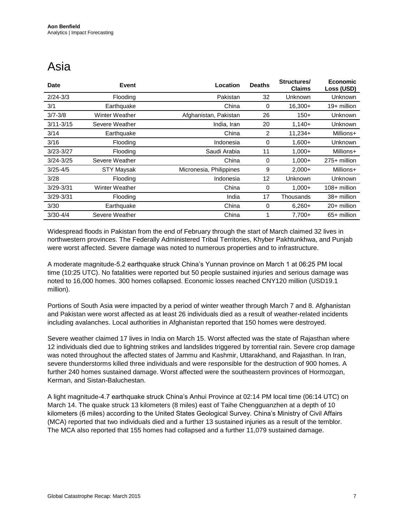### <span id="page-6-0"></span>Asia

| <b>Date</b>   | Event                 | Location                | <b>Deaths</b> | Structures/<br><b>Claims</b> | Economic<br>Loss (USD) |
|---------------|-----------------------|-------------------------|---------------|------------------------------|------------------------|
| $2/24 - 3/3$  | Flooding              | Pakistan                | 32            | Unknown                      | Unknown                |
| 3/1           | Earthquake            | China                   | 0             | $16,300+$                    | 19+ million            |
| $3/7 - 3/8$   | <b>Winter Weather</b> | Afghanistan, Pakistan   | 26            | $150+$                       | Unknown                |
| $3/11 - 3/15$ | Severe Weather        | India, Iran             | 20            | $1,140+$                     | Unknown                |
| 3/14          | Earthquake            | China                   | 2             | $11,234+$                    | Millions+              |
| 3/16          | Flooding              | Indonesia               | 0             | $1,600+$                     | Unknown                |
| $3/23 - 3/27$ | Flooding              | Saudi Arabia            | 11            | $1,000+$                     | Millions+              |
| $3/24 - 3/25$ | Severe Weather        | China                   | 0             | $1,000+$                     | 275+ million           |
| $3/25 - 4/5$  | <b>STY Maysak</b>     | Micronesia, Philippines | 9             | $2,000+$                     | Millions+              |
| 3/28          | Flooding              | Indonesia               | 12            | Unknown                      | Unknown                |
| $3/29 - 3/31$ | Winter Weather        | China                   | 0             | $1,000+$                     | 108+ million           |
| $3/29 - 3/31$ | Flooding              | India                   | 17            | Thousands                    | 38+ million            |
| 3/30          | Earthquake            | China                   | 0             | $6,260+$                     | 20+ million            |
| $3/30 - 4/4$  | Severe Weather        | China                   |               | $7,700+$                     | 65+ million            |

Widespread floods in Pakistan from the end of February through the start of March claimed 32 lives in northwestern provinces. The Federally Administered Tribal Territories, Khyber Pakhtunkhwa, and Punjab were worst affected. Severe damage was noted to numerous properties and to infrastructure.

A moderate magnitude-5.2 earthquake struck China's Yunnan province on March 1 at 06:25 PM local time (10:25 UTC). No fatalities were reported but 50 people sustained injuries and serious damage was noted to 16,000 homes. 300 homes collapsed. Economic losses reached CNY120 million (USD19.1 million).

Portions of South Asia were impacted by a period of winter weather through March 7 and 8. Afghanistan and Pakistan were worst affected as at least 26 individuals died as a result of weather-related incidents including avalanches. Local authorities in Afghanistan reported that 150 homes were destroyed.

Severe weather claimed 17 lives in India on March 15. Worst affected was the state of Rajasthan where 12 individuals died due to lightning strikes and landslides triggered by torrential rain. Severe crop damage was noted throughout the affected states of Jammu and Kashmir, Uttarakhand, and Rajasthan. In Iran, severe thunderstorms killed three individuals and were responsible for the destruction of 900 homes. A further 240 homes sustained damage. Worst affected were the southeastern provinces of Hormozgan, Kerman, and Sistan-Baluchestan.

A light magnitude-4.7 earthquake struck China's Anhui Province at 02:14 PM local time (06:14 UTC) on March 14. The quake struck 13 kilometers (8 miles) east of Taihe Chengguanzhen at a depth of 10 kilometers (6 miles) according to the United States Geological Survey. China's Ministry of Civil Affairs (MCA) reported that two individuals died and a further 13 sustained injuries as a result of the temblor. The MCA also reported that 155 homes had collapsed and a further 11,079 sustained damage.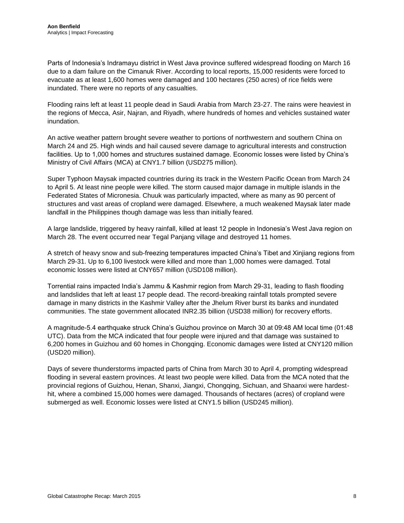Parts of Indonesia's Indramayu district in West Java province suffered widespread flooding on March 16 due to a dam failure on the Cimanuk River. According to local reports, 15,000 residents were forced to evacuate as at least 1,600 homes were damaged and 100 hectares (250 acres) of rice fields were inundated. There were no reports of any casualties.

Flooding rains left at least 11 people dead in Saudi Arabia from March 23-27. The rains were heaviest in the regions of Mecca, Asir, Najran, and Riyadh, where hundreds of homes and vehicles sustained water inundation.

An active weather pattern brought severe weather to portions of northwestern and southern China on March 24 and 25. High winds and hail caused severe damage to agricultural interests and construction facilities. Up to 1,000 homes and structures sustained damage. Economic losses were listed by China's Ministry of Civil Affairs (MCA) at CNY1.7 billion (USD275 million).

Super Typhoon Maysak impacted countries during its track in the Western Pacific Ocean from March 24 to April 5. At least nine people were killed. The storm caused major damage in multiple islands in the Federated States of Micronesia. Chuuk was particularly impacted, where as many as 90 percent of structures and vast areas of cropland were damaged. Elsewhere, a much weakened Maysak later made landfall in the Philippines though damage was less than initially feared.

A large landslide, triggered by heavy rainfall, killed at least 12 people in Indonesia's West Java region on March 28. The event occurred near Tegal Panjang village and destroyed 11 homes.

A stretch of heavy snow and sub-freezing temperatures impacted China's Tibet and Xinjiang regions from March 29-31. Up to 6,100 livestock were killed and more than 1,000 homes were damaged. Total economic losses were listed at CNY657 million (USD108 million).

Torrential rains impacted India's Jammu & Kashmir region from March 29-31, leading to flash flooding and landslides that left at least 17 people dead. The record-breaking rainfall totals prompted severe damage in many districts in the Kashmir Valley after the Jhelum River burst its banks and inundated communities. The state government allocated INR2.35 billion (USD38 million) for recovery efforts.

A magnitude-5.4 earthquake struck China's Guizhou province on March 30 at 09:48 AM local time (01:48 UTC). Data from the MCA indicated that four people were injured and that damage was sustained to 6,200 homes in Guizhou and 60 homes in Chongqing. Economic damages were listed at CNY120 million (USD20 million).

Days of severe thunderstorms impacted parts of China from March 30 to April 4, prompting widespread flooding in several eastern provinces. At least two people were killed. Data from the MCA noted that the provincial regions of Guizhou, Henan, Shanxi, Jiangxi, Chongqing, Sichuan, and Shaanxi were hardesthit, where a combined 15,000 homes were damaged. Thousands of hectares (acres) of cropland were submerged as well. Economic losses were listed at CNY1.5 billion (USD245 million).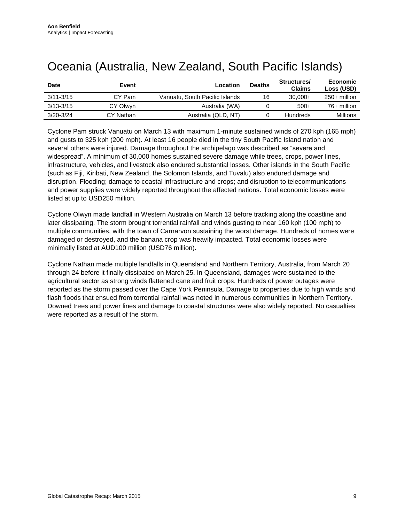| <b>Date</b>   | Event     | Location                       | <b>Deaths</b> | Structures/<br><b>Claims</b> | Economic<br>Loss (USD) |
|---------------|-----------|--------------------------------|---------------|------------------------------|------------------------|
| $3/11 - 3/15$ | CY Pam    | Vanuatu. South Pacific Islands | 16            | $30.000+$                    | 250+ million           |
| $3/13 - 3/15$ | CY Olwyn  | Australia (WA)                 |               | $500+$                       | 76+ million            |
| $3/20 - 3/24$ | CY Nathan | Australia (QLD, NT)            |               | <b>Hundreds</b>              | Millions               |

### <span id="page-8-0"></span>Oceania (Australia, New Zealand, South Pacific Islands)

Cyclone Pam struck Vanuatu on March 13 with maximum 1-minute sustained winds of 270 kph (165 mph) and gusts to 325 kph (200 mph). At least 16 people died in the tiny South Pacific Island nation and several others were injured. Damage throughout the archipelago was described as "severe and widespread". A minimum of 30,000 homes sustained severe damage while trees, crops, power lines, infrastructure, vehicles, and livestock also endured substantial losses. Other islands in the South Pacific (such as Fiji, Kiribati, New Zealand, the Solomon Islands, and Tuvalu) also endured damage and disruption. Flooding; damage to coastal infrastructure and crops; and disruption to telecommunications and power supplies were widely reported throughout the affected nations. Total economic losses were listed at up to USD250 million.

Cyclone Olwyn made landfall in Western Australia on March 13 before tracking along the coastline and later dissipating. The storm brought torrential rainfall and winds gusting to near 160 kph (100 mph) to multiple communities, with the town of Carnarvon sustaining the worst damage. Hundreds of homes were damaged or destroyed, and the banana crop was heavily impacted. Total economic losses were minimally listed at AUD100 million (USD76 million).

Cyclone Nathan made multiple landfalls in Queensland and Northern Territory, Australia, from March 20 through 24 before it finally dissipated on March 25. In Queensland, damages were sustained to the agricultural sector as strong winds flattened cane and fruit crops. Hundreds of power outages were reported as the storm passed over the Cape York Peninsula. Damage to properties due to high winds and flash floods that ensued from torrential rainfall was noted in numerous communities in Northern Territory. Downed trees and power lines and damage to coastal structures were also widely reported. No casualties were reported as a result of the storm.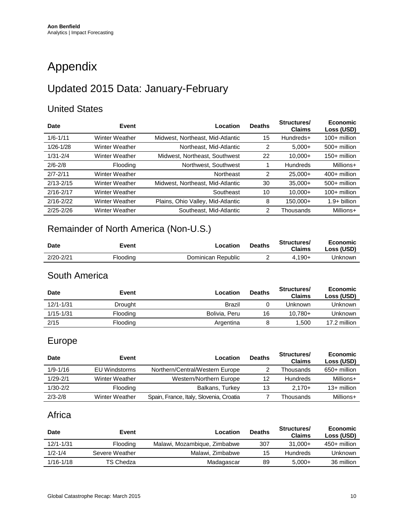# <span id="page-9-0"></span>Appendix

### Updated 2015 Data: January-February

#### United States

| Date          | Event                 | Location                          | <b>Deaths</b> | Structures/<br><b>Claims</b> | Economic<br>Loss (USD) |
|---------------|-----------------------|-----------------------------------|---------------|------------------------------|------------------------|
| $1/6 - 1/11$  | <b>Winter Weather</b> | Midwest, Northeast, Mid-Atlantic  | 15            | Hundreds+                    | $100+$ million         |
| $1/26 - 1/28$ | <b>Winter Weather</b> | Northeast, Mid-Atlantic           | 2             | $5.000+$                     | $500+$ million         |
| $1/31 - 2/4$  | <b>Winter Weather</b> | Midwest, Northeast, Southwest     | 22            | $10.000+$                    | $150+$ million         |
| $2/6 - 2/8$   | <b>Flooding</b>       | Northwest, Southwest              |               | <b>Hundreds</b>              | Millions+              |
| $2/7 - 2/11$  | <b>Winter Weather</b> | Northeast                         | 2             | $25.000+$                    | $400+$ million         |
| $2/13 - 2/15$ | <b>Winter Weather</b> | Midwest, Northeast, Mid-Atlantic  | 30            | $35.000+$                    | $500+$ million         |
| $2/16 - 2/17$ | Winter Weather        | Southeast                         | 10            | $10,000+$                    | $100+$ million         |
| $2/16 - 2/22$ | <b>Winter Weather</b> | Plains, Ohio Valley, Mid-Atlantic | 8             | 150.000+                     | $1.9+$ billion         |
| $2/25 - 2/26$ | <b>Winter Weather</b> | Southeast, Mid-Atlantic           |               | Thousands                    | Millions+              |
|               |                       |                                   |               |                              |                        |

### Remainder of North America (Non-U.S.)

| Date          | Event    | _ocatior           | <b>Deaths</b> | Structures/<br><b>Claims</b> | Economic<br>Loss (USD) |
|---------------|----------|--------------------|---------------|------------------------------|------------------------|
| $2/20 - 2/21$ | Flooding | Dominican Republic |               | $4.190+$                     | Jnknown                |

#### South America

| <b>Date</b>   | Event    | Location      | <b>Deaths</b> | <b>Structures/</b><br><b>Claims</b> | <b>Economic</b><br>Loss (USD) |
|---------------|----------|---------------|---------------|-------------------------------------|-------------------------------|
| $12/1 - 1/31$ | Drought  | Brazil        |               | Unknown                             | <b>Unknown</b>                |
| $1/15 - 1/31$ | Flooding | Bolivia, Peru | 16            | $10.780+$                           | Unknown                       |
| 2/15          | Flooding | Argentina     |               | 1.500                               | 17.2 million                  |

#### Europe

| <b>Date</b>  | Event          | Location                                | <b>Deaths</b> | Structures/<br><b>Claims</b> | <b>Economic</b><br>Loss (USD) |
|--------------|----------------|-----------------------------------------|---------------|------------------------------|-------------------------------|
| $1/9 - 1/16$ | EU Windstorms  | Northern/Central/Western Europe         |               | Thousands                    | $650+$ million                |
| $1/29 - 2/1$ | Winter Weather | Western/Northern Europe                 | 12            | <b>Hundreds</b>              | Millions+                     |
| $1/30 - 2/2$ | Flooding       | Balkans, Turkey                         | 13            | $2.170+$                     | $13+$ million                 |
| $2/3 - 2/8$  | Winter Weather | Spain, France, Italy, Slovenia, Croatia |               | Thousands                    | Millions+                     |

#### Africa

| <b>Date</b>   | Event           | Location                     | <b>Deaths</b> | Structures/<br><b>Claims</b> | Economic<br>Loss (USD) |
|---------------|-----------------|------------------------------|---------------|------------------------------|------------------------|
| $12/1 - 1/31$ | <b>Flooding</b> | Malawi, Mozambique, Zimbabwe | 307           | $31.000+$                    | $450+$ million         |
| $1/2 - 1/4$   | Severe Weather  | Malawi, Zimbabwe             | 15            | <b>Hundreds</b>              | Unknown                |
| $1/16 - 1/18$ | TS Chedza       | Madagascar                   | 89            | $5.000+$                     | 36 million             |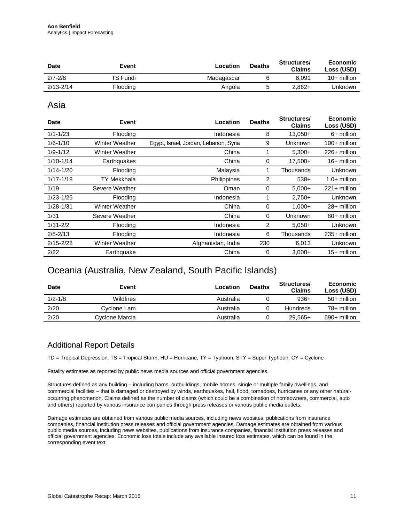| <b>Date</b>   | Event    | Location   | <b>Deaths</b> | Structures/<br><b>Claims</b> | Economic<br>Loss (USD) |
|---------------|----------|------------|---------------|------------------------------|------------------------|
| $2/7 - 2/8$   | TS Fundi | Madagascar |               | 8.091                        | 10+ million            |
| $2/13 - 2/14$ | Flooding | Angola     |               | $2.862+$                     | Unknown                |

Asia

| <b>Date</b>   | Event                 | Location                              | <b>Deaths</b> | Structures/<br><b>Claims</b> | Economic<br>Loss (USD) |
|---------------|-----------------------|---------------------------------------|---------------|------------------------------|------------------------|
| $1/1 - 1/23$  | Flooding              | Indonesia                             | 8             | $13,050+$                    | 6+ million             |
| $1/6 - 1/10$  | <b>Winter Weather</b> | Egypt, Israel, Jordan, Lebanon, Syria | 9             | Unknown                      | 100+ million           |
| $1/9 - 1/12$  | <b>Winter Weather</b> | China                                 |               | $5,300+$                     | 226+ million           |
| $1/10 - 1/14$ | Earthquakes           | China                                 | 0             | $17,500+$                    | 16+ million            |
| $1/14 - 1/20$ | Flooding              | Malaysia                              |               | Thousands                    | Unknown                |
| $1/17 - 1/18$ | TY Mekkhala           | Philippines                           | 2             | $538+$                       | $1.0+$ million         |
| 1/19          | Severe Weather        | Oman                                  | 0             | $5,000+$                     | $221 +$ million        |
| $1/23 - 1/25$ | Flooding              | Indonesia                             |               | $2,750+$                     | Unknown                |
| $1/28 - 1/31$ | Winter Weather        | China                                 | 0             | $1,000+$                     | 28+ million            |
| 1/31          | Severe Weather        | China                                 | 0             | Unknown                      | 80+ million            |
| $1/31 - 2/2$  | Flooding              | Indonesia                             | 2             | $5.050+$                     | Unknown                |
| $2/8 - 2/13$  | Flooding              | Indonesia                             | 6             | Thousands                    | 235+ million           |
| $2/15 - 2/28$ | <b>Winter Weather</b> | Afghanistan, India                    | 230           | 6,013                        | Unknown                |
| 2/22          | Earthquake            | China                                 | 0             | $3,000+$                     | 15+ million            |

#### Oceania (Australia, New Zealand, South Pacific Islands)

| <b>Date</b> | Event            | Location  | <b>Deaths</b> | Structures/<br><b>Claims</b> | Economic<br>Loss (USD) |
|-------------|------------------|-----------|---------------|------------------------------|------------------------|
| $1/2 - 1/8$ | <b>Wildfires</b> | Australia |               | $936+$                       | 50+ million            |
| 2/20        | Cyclone Lam      | Australia |               | <b>Hundreds</b>              | 78+ million            |
| 2/20        | Cyclone Marcia   | Australia |               | $29.565+$                    | 590+ million           |

#### Additional Report Details

TD = Tropical Depression, TS = Tropical Storm, HU = Hurricane, TY = Typhoon, STY = Super Typhoon, CY = Cyclone

Fatality estimates as reported by public news media sources and official government agencies.

Structures defined as any building – including barns, outbuildings, mobile homes, single or multiple family dwellings, and commercial facilities – that is damaged or destroyed by winds, earthquakes, hail, flood, tornadoes, hurricanes or any other naturaloccurring phenomenon. Claims defined as the number of claims (which could be a combination of homeowners, commercial, auto and others) reported by various insurance companies through press releases or various public media outlets.

Damage estimates are obtained from various public media sources, including news websites, publications from insurance companies, financial institution press releases and official government agencies. Damage estimates are obtained from various public media sources, including news websites, publications from insurance companies, financial institution press releases and official government agencies. Economic loss totals include any available insured loss estimates, which can be found in the corresponding event text.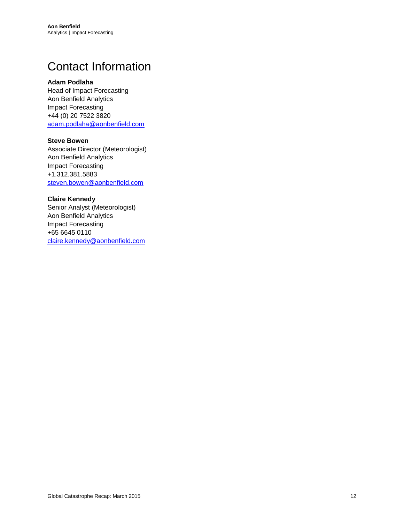### <span id="page-11-0"></span>Contact Information

#### **Adam Podlaha**

Head of Impact Forecasting Aon Benfield Analytics Impact Forecasting +44 (0) 20 7522 3820 [adam.podlaha@aonbenfield.com](mailto:adam.podlaha@aonbenfield.com)

#### **Steve Bowen**

Associate Director (Meteorologist) Aon Benfield Analytics Impact Forecasting +1.312.381.5883 [steven.bowen@aonbenfield.com](mailto:steven.bowen@aonbenfield.com)

#### **Claire Kennedy**

Senior Analyst (Meteorologist) Aon Benfield Analytics Impact Forecasting +65 6645 0110 [claire.kennedy@aonbenfield.com](mailto:claire.kennedy@aonbenfield.com)